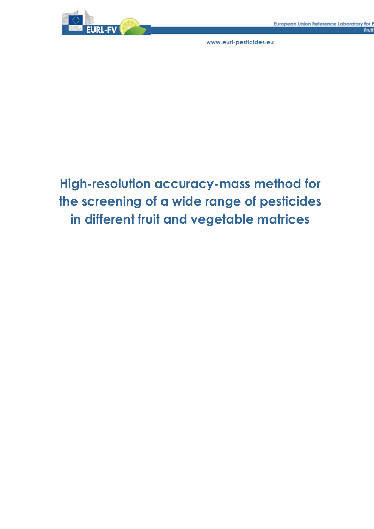

# **High-resolution accuracy-mass method for the screening of a wide range of pesticides in different fruit and vegetable matrices**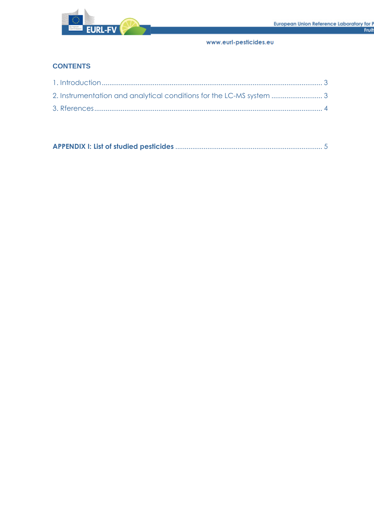

## **CONTENTS**

|--|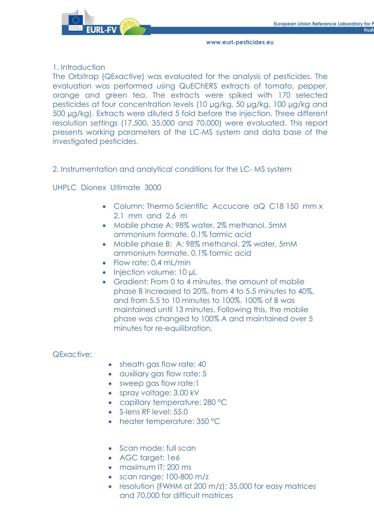

## 1. Introduction

The Orbitrap (QExactive) was evaluated for the analysis of pesticides. The evaluation was performed using QuEChERS extracts of tomato, pepper, orange and green tea. The extracts were spiked with 170 selected pesticides at four concentration levels (10 µg/kg, 50 µg/kg, 100 µg/kg and 500 µg/kg). Extracts were diluted 5 fold before the injection. Three different resolution settings (17,500, 35,000 and 70,000) were evaluated. This report presents working parameters of the LC-MS system and data base of the investigated pesticides.

## 2. Instrumentation and analytical conditions for the LC- MS system

UHPLC Dionex Ultimate 3000

- Column: Thermo Scientific Accucore aQ C18 150 mm x 2.1 mm and 2.6 m
- Mobile phase A: 98% water, 2% methanol, 5mM ammonium formate, 0.1% formic acid
- Mobile phase B: A: 98% methanol, 2% water, 5mM ammonium formate, 0.1% formic acid
- $\bullet$  Flow rate: 0.4 mL/min
- Injection volume: 10 µL
- Gradient: From 0 to 4 minutes, the amount of mobile phase B increased to 20%, from 4 to 5.5 minutes to 40%, and from 5.5 to 10 minutes to 100%. 100% of B was maintained until 13 minutes. Following this, the mobile phase was changed to 100% A and maintained over 5 minutes for re-equilibration.

## QExactive:

- sheath gas flow rate: 40
- auxiliary gas flow rate: 5
- sweep gas flow rate:1
- spray voltage: 3.00 kV
- capillary temperature: 280 °C
- S-lens RF level: 55.0
- heater temperature: 350 °C
- Scan mode: full scan
- AGC target: 1e6
- maximum IT: 200 ms
- scan range: 100-800 m/z
- resolution (FWHM at 200 m/z): 35,000 for easy matrices and 70,000 for difficult matrices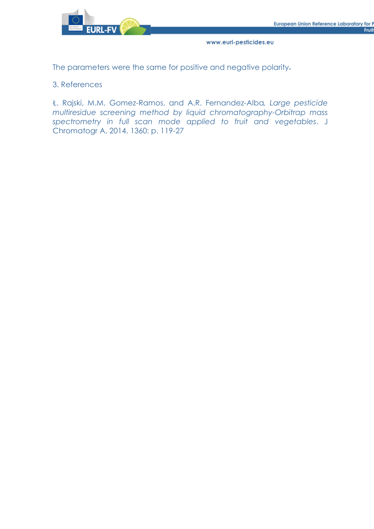

The parameters were the same for positive and negative polarity**.**

#### 3. References

Ł. Rajski, M.M. Gomez-Ramos, and A.R. Fernandez-Alba*, Large pesticide multiresidue screening method by liquid chromatography-Orbitrap mass spectrometry in full scan mode applied to fruit and vegetables*. J Chromatogr A, 2014. 1360: p. 119-27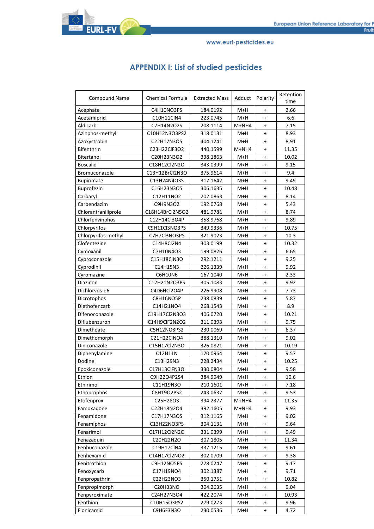**EURL-FV** 

www.eurl-pesticides.eu

| <b>APPENDIX I: List of studied pesticides</b> |  |  |
|-----------------------------------------------|--|--|
|-----------------------------------------------|--|--|

| Compound Name       | Chemical Formula | <b>Extracted Mass</b> | Adduct | Polarity                         | Retention<br>time |
|---------------------|------------------|-----------------------|--------|----------------------------------|-------------------|
| Acephate            | C4H10NO3PS       | 184.0192              | M+H    | $\ddot{}$                        | 2.66              |
| Acetamiprid         | C10H11ClN4       | 223.0745              | M+H    | $\ddot{}$                        | 6.6               |
| Aldicarb            | C7H14N2O2S       | 208.1114              | M+NH4  | $\ddot{}$                        | 7.15              |
| Azinphos-methyl     | C10H12N3O3PS2    | 318.0131              | M+H    | $\ddot{}$                        | 8.93              |
| Azoxystrobin        | C22H17N3O5       | 404.1241              | M+H    | $\ddot{}$                        | 8.91              |
| Bifenthrin          | C23H22ClF3O2     | 440.1599              | M+NH4  | $\ddot{}$                        | 11.35             |
| Bitertanol          | C20H23N3O2       | 338.1863              | M+H    | $\ddot{}$                        | 10.02             |
| <b>Boscalid</b>     | C18H12Cl2N2O     | 343.0399              | M+H    | $\ddot{}$                        | 9.15              |
| Bromuconazole       | C13H12BrCl2N3O   | 375.9614              | M+H    | $\ddot{}$                        | 9.4               |
| <b>Bupirimate</b>   | C13H24N4O3S      | 317.1642              | M+H    | $\ddot{}$                        | 9.49              |
| <b>Buprofezin</b>   | C16H23N3OS       | 306.1635              | M+H    | $\ddot{}$                        | 10.48             |
| Carbaryl            | C12H11NO2        | 202.0863              | M+H    | $\begin{array}{c} + \end{array}$ | 8.14              |
| Carbendazim         | C9H9N3O2         | 192.0768              | M+H    | $\ddot{}$                        | 5.43              |
| Chlorantraniliprole | C18H14BrCl2N5O2  | 481.9781              | M+H    | $\ddot{}$                        | 8.74              |
| Chlorfenvinphos     | C12H14Cl3O4P     | 358.9768              | M+H    | $\ddot{}$                        | 9.89              |
| Chlorpyrifos        | C9H11Cl3NO3PS    | 349.9336              | M+H    | $\ddot{}$                        | 10.75             |
| Chlorpyrifos-methyl | C7H7Cl3NO3PS     | 321.9023              | M+H    | $\ddot{}$                        | 10.3              |
| Clofentezine        | C14H8Cl2N4       | 303.0199              | M+H    | $\ddot{}$                        | 10.32             |
| Cymoxanil           | C7H10N4O3        | 199.0826              | M+H    | $\ddot{}$                        | 6.65              |
| Cyproconazole       | C15H18ClN3O      | 292.1211              | M+H    | $\ddot{}$                        | 9.25              |
| Cyprodinil          | C14H15N3         | 226.1339              | M+H    | $^{+}$                           | 9.92              |
| Cyromazine          | C6H10N6          | 167.1040              | M+H    | $\ddot{}$                        | 2.33              |
| Diazinon            | C12H21N2O3PS     | 305.1083              | M+H    | $\ddot{}$                        | 9.92              |
| Dichlorvos-d6       | C4D6HCl2O4P      | 226.9908              | M+H    | $\begin{array}{c} + \end{array}$ | 7.73              |
| Dicrotophos         | C8H16NO5P        | 238.0839              | M+H    | $\ddot{}$                        | 5.87              |
| Diethofencarb       | C14H21NO4        | 268.1543              | M+H    | $\ddot{}$                        | 8.9               |
| Difenoconazole      | C19H17Cl2N3O3    | 406.0720              | M+H    | $\ddot{}$                        | 10.21             |
| Diflubenzuron       | C14H9ClF2N2O2    | 311.0393              | M+H    | $\ddot{}$                        | 9.75              |
| Dimethoate          | C5H12NO3PS2      | 230.0069              | M+H    | $\ddot{}$                        | 6.37              |
| Dimethomorph        | C21H22ClNO4      | 388.1310              | M+H    | $\ddot{}$                        | 9.02              |
| Diniconazole        | C15H17Cl2N3O     | 326.0821              | M+H    | $\ddot{}$                        | 10.19             |
| Diphenylamine       | C12H11N          | 170.0964              | M+H    | $\ddot{}$                        | 9.57              |
| Dodine              | C13H29N3         | 228.2434              | M+H    | $\ddot{}$                        | 10.25             |
| Epoxiconazole       | C17H13ClFN3O     | 330.0804              | M+H    | $\ddot{}$                        | 9.58              |
| Ethion              | C9H22O4P2S4      | 384.9949              | M+H    | $\ddot{}$                        | 10.6              |
| Ethirimol           | C11H19N3O        | 210.1601              | M+H    | $\ddot{}$                        | 7.18              |
| Ethoprophos         | C8H19O2PS2       | 243.0637              | M+H    | $\ddot{}$                        | 9.53              |
| Etofenprox          | C25H28O3         | 394.2377              | M+NH4  | $\ddot{}$                        | 11.35             |
| Famoxadone          | C22H18N2O4       | 392.1605              | M+NH4  | $\ddot{}$                        | 9.93              |
| Fenamidone          | C17H17N3OS       | 312.1165              | M+H    | $\ddot{}$                        | 9.02              |
| Fenamiphos          | C13H22NO3PS      | 304.1131              | M+H    | $\ddot{}$                        | 9.64              |
| Fenarimol           | C17H12Cl2N2O     | 331.0399              | M+H    | $\ddot{}$                        | 9.49              |
| Fenazaquin          | C20H22N2O        | 307.1805              | M+H    | $\ddot{}$                        | 11.34             |
| Fenbuconazole       | C19H17ClN4       | 337.1215              | M+H    | $\ddot{}$                        | 9.61              |
| Fenhexamid          | C14H17Cl2NO2     | 302.0709              | M+H    | $\ddot{}$                        | 9.38              |
| Fenitrothion        | C9H12NO5PS       | 278.0247              | M+H    | $\ddot{}$                        | 9.17              |
| Fenoxycarb          | C17H19NO4        | 302.1387              | M+H    | $\ddot{}$                        | 9.71              |
| Fenpropathrin       | C22H23NO3        | 350.1751              | M+H    | $\ddot{}$                        | 10.82             |
| Fenpropimorph       | C20H33NO         | 304.2635              | M+H    | $\ddot{}$                        | 9.04              |
| Fenpyroximate       | C24H27N3O4       | 422.2074              | M+H    | $\ddot{}$                        | 10.93             |
| Fenthion            | C10H15O3PS2      | 279.0273              | M+H    | $\ddot{}$                        | 9.96              |
| Flonicamid          | C9H6F3N3O        | 230.0536              | M+H    | $\ddot{}$                        | 4.72              |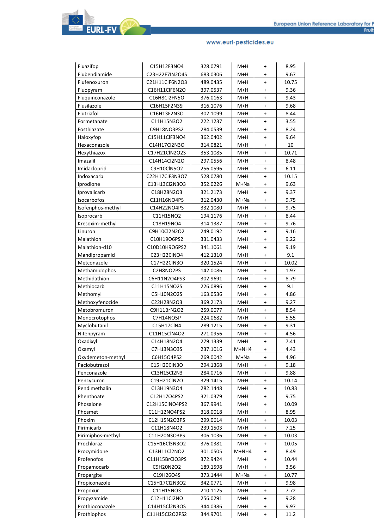| Fluazifop                | C15H12F3NO4               | 328.0791 | M+H     | $\ddot{}$                        | 8.95  |
|--------------------------|---------------------------|----------|---------|----------------------------------|-------|
| Flubendiamide            | C23H22F7IN2O4S            | 683.0306 | $M+H$   | $\ddot{}$                        | 9.67  |
| Flufenoxuron             | C21H11ClF6N2O3            | 489.0435 | M+H     | $\ddot{}$                        | 10.75 |
| Fluopyram                | C16H11ClF6N2O             | 397.0537 | M+H     | $\ddot{}$                        | 9.36  |
| Fluquinconazole          | C16H8Cl2FN5O              | 376.0163 | M+H     | $\ddot{}$                        | 9.43  |
| Flusilazole              | C16H15F2N3Si              | 316.1076 | M+H     | $\ddot{}$                        | 9.68  |
| Flutriafol               | C16H13F2N3O               | 302.1099 | M+H     | $\ddot{}$                        | 8.44  |
|                          |                           |          | M+H     |                                  | 3.55  |
| Formetanate              | C11H15N3O2<br>C9H18NO3PS2 | 222.1237 |         | $\ddot{}$                        | 8.24  |
| Fosthiazate<br>Haloxyfop |                           | 284.0539 | M+H     | $\ddot{}$                        | 9.64  |
|                          | C15H11ClF3NO4             | 362.0402 | M+H     | $\ddot{}$                        |       |
| Hexaconazole             | C14H17Cl2N3O              | 314.0821 | M+H     | $\ddot{}$                        | 10    |
| Hexythiazox              | C17H21ClN2O2S             | 353.1085 | M+H     | $\ddot{}$                        | 10.71 |
| Imazalil                 | C14H14Cl2N2O              | 297.0556 | M+H     | $\ddot{}$                        | 8.48  |
| Imidacloprid             | C9H10ClN5O2               | 256.0596 | M+H     | $\ddot{}$                        | 6.11  |
| Indoxacarb               | C22H17ClF3N3O7            | 528.0780 | M+H     | $\ddot{}$                        | 10.15 |
| Iprodione                | C13H13Cl2N3O3             | 352.0226 | M+Na    | $\ddot{}$                        | 9.63  |
| Iprovalicarb             | C18H28N2O3                | 321.2173 | M+H     | $\ddot{}$                        | 9.37  |
| <b>Isocarbofos</b>       | C11H16NO4PS               | 312.0430 | M+Na    | $\ddot{}$                        | 9.75  |
| Isofenphos-methyl        | C14H22NO4PS               | 332.1080 | M+H     | $\ddot{}$                        | 9.75  |
| Isoprocarb               | C11H15NO2                 | 194.1176 | M+H     | $\ddot{}$                        | 8.44  |
| Kresoxim-methyl          | C18H19NO4                 | 314.1387 | $M+H$   | $\ddot{}$                        | 9.76  |
| Linuron                  | C9H10Cl2N2O2              | 249.0192 | M+H     | $\ddot{}$                        | 9.16  |
| Malathion                | C10H19O6PS2               | 331.0433 | M+H     | $\ddot{}$                        | 9.22  |
| Malathion-d10            | C10D10H9O6PS2             | 341.1061 | M+H     | +                                | 9.19  |
| Mandipropamid            | C23H22CINO4               | 412.1310 | $M+H$   | $\begin{array}{c} + \end{array}$ | 9.1   |
| Metconazole              | C17H22ClN3O               | 320.1524 | M+H     | $\ddot{}$                        | 10.02 |
| Methamidophos            | C2H8NO2PS                 | 142.0086 | M+H     | $\ddot{}$                        | 1.97  |
| Methidathion             | C6H11N2O4PS3              | 302.9691 | M+H     | $\ddot{}$                        | 8.79  |
| Methiocarb               | C11H15NO2S                | 226.0896 | M+H     | $\ddot{}$                        | 9.1   |
| Methomyl                 | C5H10N2O2S                | 163.0536 | M+H     | $\ddot{}$                        | 4.86  |
| Methoxyfenozide          | C22H28N2O3                | 369.2173 | M+H     | $\ddot{}$                        | 9.27  |
| Metobromuron             | C9H11BrN2O2               | 259.0077 | M+H     | $\ddot{}$                        | 8.54  |
| Monocrotophos            | C7H14NO5P                 | 224.0682 | M+H     | $\ddot{}$                        | 5.55  |
| Myclobutanil             | C15H17ClN4                | 289.1215 | M+H     | $\ddot{}$                        | 9.31  |
| Nitenpyram               | C11H15ClN4O2              | 271.0956 | M+H     | $\ddot{}$                        | 4.56  |
| Oxadixyl                 | C14H18N2O4                | 279.1339 | M+H     | +                                | 7.41  |
| Oxamyl                   | C7H13N3O3S                | 237.1016 | $M+NH4$ | $\ddot{}$                        | 4.43  |
| Oxydemeton-methyl        | C6H15O4PS2                | 269.0042 | M+Na    | $\ddot{}$                        | 4.96  |
| Paclobutrazol            | C15H20ClN3O               | 294.1368 | M+H     | +                                | 9.18  |
| Penconazole              | C13H15Cl2N3               | 284.0716 | M+H     | +                                | 9.88  |
| Pencycuron               | C19H21ClN2O               | 329.1415 | M+H     | +                                | 10.14 |
| Pendimethalin            | C13H19N3O4                | 282.1448 | M+H     | $\ddot{}$                        | 10.83 |
| Phenthoate               | C12H17O4PS2               | 321.0379 | M+H     | $\ddot{}$                        | 9.75  |
| Phosalone                | C12H15CINO4PS2            | 367.9941 | M+H     | +                                | 10.09 |
| Phosmet                  | C11H12NO4PS2              | 318.0018 | M+H     | $\ddot{}$                        | 8.95  |
| Phoxim                   | C12H15N2O3PS              | 299.0614 | M+H     |                                  | 10.03 |
| Pirimicarb               | C11H18N4O2                | 239.1503 |         | +                                | 7.25  |
|                          |                           |          | M+H     | $\ddot{}$                        |       |
| Pirimiphos-methyl        | C11H20N3O3PS              | 306.1036 | M+H     | $\ddot{}$                        | 10.03 |
| Prochloraz               | C15H16Cl3N3O2             | 376.0381 | M+H     | $\ddot{}$                        | 10.05 |
| Procymidone              | C13H11Cl2NO2              | 301.0505 | M+NH4   | $\ddot{}$                        | 8.49  |
| Profenofos               | C11H15BrClO3PS            | 372.9424 | M+H     | $\ddot{}$                        | 10.44 |
| Propamocarb              | C9H20N2O2                 | 189.1598 | M+H     | +                                | 3.56  |
| Propargite               | C19H26O4S                 | 373.1444 | M+Na    | +                                | 10.77 |
| Propiconazole            | C15H17Cl2N3O2             | 342.0771 | M+H     | +                                | 9.98  |
| Propoxur                 | C11H15NO3                 | 210.1125 | M+H     | $\ddot{}$                        | 7.72  |
| Propyzamide              | C12H11Cl2NO               | 256.0291 | M+H     | +                                | 9.28  |
| Prothioconazole          | C14H15Cl2N3OS             | 344.0386 | M+H     | $\ddot{}$                        | 9.97  |
| Prothiophos              | C11H15Cl2O2PS2            | 344.9701 | M+H     | $\ddot{}$                        | 11.2  |

**EURL-FV**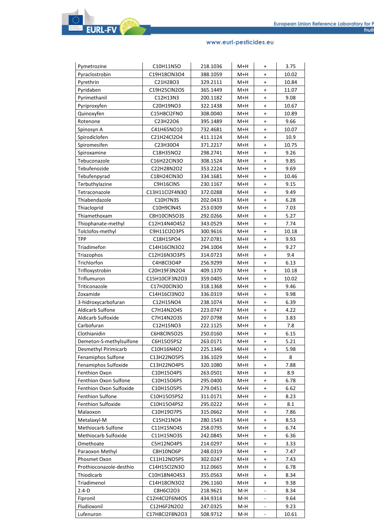| Pymetrozine<br>Pyraclostrobin | C10H11N5O<br>C19H18ClN3O4 | 218.1036<br>388.1059 | M+H<br>$M+H$ | $\ddot{}$<br>$\ddot{}$           | 3.75<br>10.02 |
|-------------------------------|---------------------------|----------------------|--------------|----------------------------------|---------------|
| Pyrethrin                     | C21H28O3                  | 329.2111             | M+H          | $\ddot{}$                        | 10.84         |
| Pyridaben                     | C19H25ClN2OS              | 365.1449             | M+H          | $\ddot{}$                        | 11.07         |
| Pyrimethanil                  | C12H13N3                  | 200.1182             | $M+H$        | $\ddot{}$                        | 9.08          |
| Pyriproxyfen                  | C20H19NO3                 | 322.1438             | M+H          | $\ddot{}$                        | 10.67         |
| Quinoxyfen                    | C15H8Cl2FNO               | 308.0040             | M+H          | $\ddot{}$                        | 10.89         |
| Rotenone                      | C23H22O6                  | 395.1489             |              | $\ddot{}$                        | 9.66          |
|                               | C41H65NO10                | 732.4681             | M+H<br>M+H   | $\ddot{}$                        | 10.07         |
| Spinosyn A                    | C21H24Cl2O4               | 411.1124             | M+H          | $\ddot{}$                        | 10.9          |
| Spirodiclofen                 |                           |                      | $M+H$        |                                  | 10.75         |
| Spiromesifen                  | C23H30O4                  | 371.2217             |              | $\ddot{}$                        |               |
| Spiroxamine                   | C18H35NO2                 | 298.2741             | M+H          | $\ddot{}$                        | 9.26          |
| Tebuconazole                  | C16H22ClN3O               | 308.1524             | M+H          | $\ddot{}$                        | 9.85          |
| Tebufenozide                  | C22H28N2O2                | 353.2224             | M+H          | $\ddot{}$                        | 9.69          |
| Tebufenpyrad                  | C18H24ClN3O               | 334.1681             | M+H          | $\ddot{}$                        | 10.46         |
| Terbuthylazine                | C9H16CIN5                 | 230.1167             | M+H          | $\ddot{}$                        | 9.15          |
| Tetraconazole                 | C13H11Cl2F4N3O            | 372.0288             | M+H          | $\ddot{}$                        | 9.49          |
| Thiabendazole                 | C10H7N3S                  | 202.0433             | M+H          | $\ddot{}$                        | 6.28          |
| Thiacloprid                   | C10H9ClN4S                | 253.0309             | M+H          | $\ddot{}$                        | 7.03          |
| Thiamethoxam                  | <b>C8H10CIN5O3S</b>       | 292.0266             | M+H          | $\ddot{}$                        | 5.27          |
| Thiophanate-methyl            | C12H14N4O4S2              | 343.0529             | M+H          | $\ddot{}$                        | 7.74          |
| Tolclofos-methyl              | C9H11Cl2O3PS              | 300.9616             | M+H          | $\ddot{}$                        | 10.18         |
| <b>TPP</b>                    | C18H15PO4                 | 327.0781             | M+H          | $\ddot{}$                        | 9.93          |
| Triadimefon                   | C14H16ClN3O2              | 294.1004             | M+H          | $\ddot{}$                        | 9.27          |
| Triazophos                    | C12H16N3O3PS              | 314.0723             | M+H          | $\ddot{}$                        | 9.4           |
| Trichlorfon                   | C4H8Cl3O4P                | 256.9299             | M+H          | $\ddot{}$                        | 6.13          |
| Trifloxystrobin               | C20H19F3N2O4              | 409.1370             | M+H          | $\ddot{}$                        | 10.18         |
| Triflumuron                   | C15H10ClF3N2O3            | 359.0405             | M+H          | $\ddot{}$                        | 10.02         |
| Triticonazole                 | C17H20ClN3O               | 318.1368             | M+H          | $\ddot{}$                        | 9.46          |
| Zoxamide                      | C14H16Cl3NO2              | 336.0319             | M+H          | $\ddot{}$                        | 9.98          |
| 3-hidroxycarbofuran           | C12H15NO4                 | 238.1074             | M+H          | $\ddot{}$                        | 6.39          |
| Aldicarb Sulfone              | C7H14N2O4S                | 223.0747             | M+H          | $\ddot{}$                        | 4.22          |
| Aldicarb Sulfoxide            | C7H14N2O3S                | 207.0798             | M+H          | $\ddot{}$                        | 3.83          |
| Carbofuran                    | C12H15NO3                 | 222.1125             | M+H          | $\ddot{}$                        | 7.8           |
| Clothianidin                  | C6H8CIN5O2S               | 250.0160             | M+H          | $\begin{array}{c} + \end{array}$ | 6.15          |
| Demeton-S-methylsulfone       | C6H15O5PS2                | 263.0171             | M+H          | $\ddot{}$                        | 5.21          |
| Desmethyl Pirimicarb          | C10H16N4O2                | 225.1346             | M+H          | $\ddot{}$                        | 5.98          |
| Fenamiphos Sulfone            | C13H22NO5PS               | 336.1029             | M+H          | $\ddot{}$                        | 8             |
| Fenamiphos Sulfoxide          | C13H22NO4PS               | 320.1080             | M+H          | $\ddot{}$                        | 7.88          |
| Fenthion Oxon                 | C10H15O4PS                | 263.0501             | M+H          | $\ddot{}$                        | 8.9           |
| Fenthion Oxon Sulfone         | C10H15O6PS                | 295.0400             | M+H          | $\ddot{}$                        | 6.78          |
| Fenthion Oxon Sulfoxide       | C10H15O5PS                | 279.0451             | M+H          | $\ddot{}$                        | 6.62          |
| <b>Fenthion Sulfone</b>       | C10H15O5PS2               | 311.0171             | M+H          | $\ddot{}$                        | 8.23          |
| <b>Fenthion Sulfoxide</b>     | C10H15O4PS2               | 295.0222             | M+H          | $\ddot{}$                        | 8.1           |
| Malaoxon                      | C10H19O7PS                | 315.0662             | M+H          | $\ddot{}$                        | 7.86          |
| Metalaxyl-M                   | C15H21NO4                 | 280.1543             | M+H          | $\ddot{}$                        | 8.53          |
| Methiocarb Sulfone            | C11H15NO4S                | 258.0795             | M+H          | $\ddot{}$                        | 6.74          |
| Methiocarb Sulfoxide          | C11H15NO3S                | 242.0845             | M+H          | $\ddot{}$                        | 6.36          |
| Omethoate                     | C5H12NO4PS                | 214.0297             | M+H          | $\ddot{}$                        | 3.33          |
| Paraoxon Methyl               | C8H10NO6P                 | 248.0319             | M+H          | $\ddot{}$                        | 7.47          |
| Phosmet Oxon                  | C11H12NO5PS               | 302.0247             | M+H          | $\ddot{}$                        | 7.43          |
| Prothioconazole-desthio       | C14H15Cl2N3O              | 312.0665             | M+H          | $\ddot{}$                        | 6.78          |
| Thiodicarb                    | C10H18N4O4S3              | 355.0563             | M+H          | $\ddot{}$                        | 8.34          |
| Triadimenol                   | C14H18ClN3O2              | 296.1160             | M+H          | $\ddot{}$                        | 9.38          |
| $2.4 - D$                     | C8H6Cl2O3                 | 218.9621             | M-H          |                                  | 8.34          |
| Fipronil                      | C12H4Cl2F6N4OS            | 434.9314             | M-H          |                                  | 9.64          |
| Fludioxonil                   | C12H6F2N2O2               | 247.0325             | M-H          |                                  | 9.23          |
| Lufenuron                     | C17H8Cl2F8N2O3            | 508.9712             |              |                                  |               |
|                               |                           |                      | M-H          |                                  | 10.61         |

**EURL-FV**